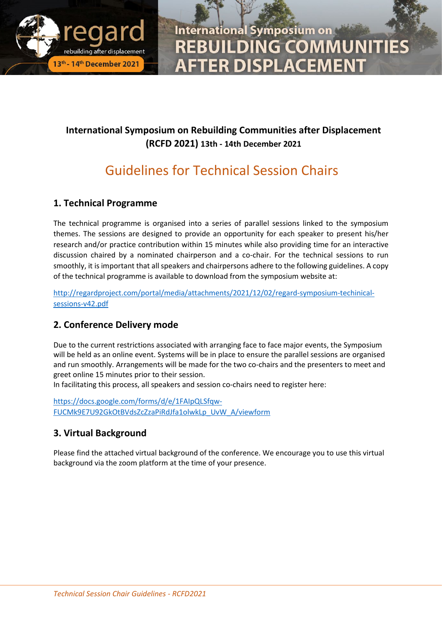

**International Symposium on REBUILDING COMMUNITIES FTER DISPLACEMENT** 

## **International Symposium on Rebuilding Communities after Displacement (RCFD 2021) 13th - 14th December 2021**

## Guidelines for Technical Session Chairs

## **1. Technical Programme**

The technical programme is organised into a series of parallel sessions linked to the symposium themes. The sessions are designed to provide an opportunity for each speaker to present his/her research and/or practice contribution within 15 minutes while also providing time for an interactive discussion chaired by a nominated chairperson and a co-chair. For the technical sessions to run smoothly, it is important that all speakers and chairpersons adhere to the following guidelines. A copy of the technical programme is available to download from the symposium website at:

[http://regardproject.com/portal/media/attachments/2021/12/02/regard-symposium-techinical](http://regardproject.com/portal/media/attachments/2021/12/02/regard-symposium-techinical-sessions-v42.pdf)[sessions-v42.pdf](http://regardproject.com/portal/media/attachments/2021/12/02/regard-symposium-techinical-sessions-v42.pdf)

## **2. Conference Delivery mode**

Due to the current restrictions associated with arranging face to face major events, the Symposium will be held as an online event. Systems will be in place to ensure the parallel sessions are organised and run smoothly. Arrangements will be made for the two co-chairs and the presenters to meet and greet online 15 minutes prior to their session.

In facilitating this process, all speakers and session co-chairs need to register here:

[https://docs.google.com/forms/d/e/1FAIpQLSfqw-](https://docs.google.com/forms/d/e/1FAIpQLSfqw-FUCMk9E7U92GkOtBVdsZcZzaPiRdJfa1olwkLp_UvW_A/viewform)[FUCMk9E7U92GkOtBVdsZcZzaPiRdJfa1olwkLp\\_UvW\\_A/viewform](https://docs.google.com/forms/d/e/1FAIpQLSfqw-FUCMk9E7U92GkOtBVdsZcZzaPiRdJfa1olwkLp_UvW_A/viewform)

## **3. Virtual Background**

Please find the attached virtual background of the conference. We encourage you to use this virtual background via the zoom platform at the time of your presence.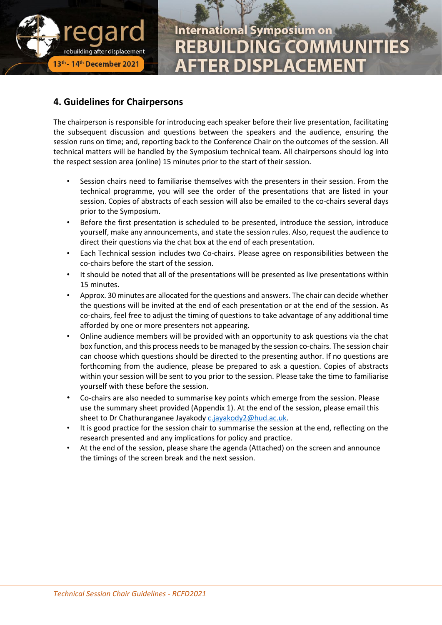

# **International Symposium on REBUILDING COMMUNITIE TER DISPLACEMENT**

#### **4. Guidelines for Chairpersons**

The chairperson is responsible for introducing each speaker before their live presentation, facilitating the subsequent discussion and questions between the speakers and the audience, ensuring the session runs on time; and, reporting back to the Conference Chair on the outcomes of the session. All technical matters will be handled by the Symposium technical team. All chairpersons should log into the respect session area (online) 15 minutes prior to the start of their session.

- Session chairs need to familiarise themselves with the presenters in their session. From the technical programme, you will see the order of the presentations that are listed in your session. Copies of abstracts of each session will also be emailed to the co-chairs several days prior to the Symposium.
- Before the first presentation is scheduled to be presented, introduce the session, introduce yourself, make any announcements, and state the session rules. Also, request the audience to direct their questions via the chat box at the end of each presentation.
- Each Technical session includes two Co-chairs. Please agree on responsibilities between the co-chairs before the start of the session.
- It should be noted that all of the presentations will be presented as live presentations within 15 minutes.
- Approx. 30 minutes are allocated for the questions and answers. The chair can decide whether the questions will be invited at the end of each presentation or at the end of the session. As co-chairs, feel free to adjust the timing of questions to take advantage of any additional time afforded by one or more presenters not appearing.
- Online audience members will be provided with an opportunity to ask questions via the chat box function, and this process needs to be managed by the session co-chairs. The session chair can choose which questions should be directed to the presenting author. If no questions are forthcoming from the audience, please be prepared to ask a question. Copies of abstracts within your session will be sent to you prior to the session. Please take the time to familiarise yourself with these before the session.
- Co-chairs are also needed to summarise key points which emerge from the session. Please use the summary sheet provided (Appendix 1). At the end of the session, please email this sheet to Dr Chathuranganee Jayakody [c.jayakody2@hud.ac.uk.](mailto:c.jayakody2@hud.ac.uk)
- It is good practice for the session chair to summarise the session at the end, reflecting on the research presented and any implications for policy and practice.
- At the end of the session, please share the agenda (Attached) on the screen and announce the timings of the screen break and the next session.